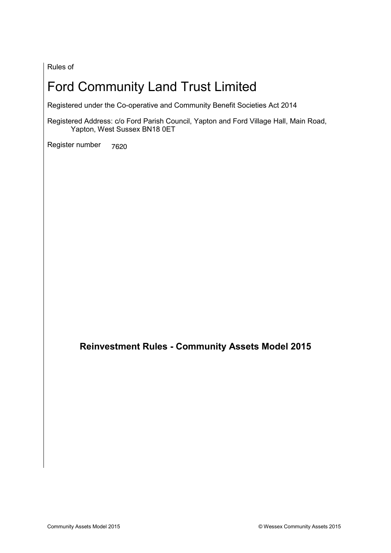Rules of

# Ford Community Land Trust Limited

Registered under the Co-operative and Community Benefit Societies Act 2014

Registered Address: c/o Ford Parish Council, Yapton and Ford Village Hall, Main Road, Yapton, West Sussex BN18 0ET

Register number 7620

**Reinvestment Rules - Community Assets Model 2015**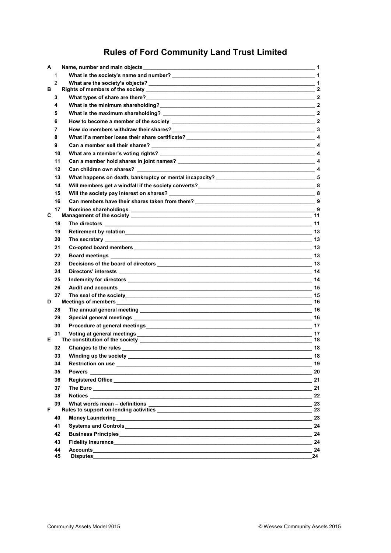## **Rules of Ford Community Land Trust Limited**

| A  |                | Name, number and main objects                                                                                 | 1                           |
|----|----------------|---------------------------------------------------------------------------------------------------------------|-----------------------------|
|    | 1              |                                                                                                               | $\overline{1}$              |
|    | $\overline{2}$ |                                                                                                               |                             |
| в  |                |                                                                                                               | $\mathbf{2}$                |
|    | 3              |                                                                                                               | $\mathbf{2}$                |
|    | 4              |                                                                                                               | $\mathbf{2}$                |
|    | 5              | What is the maximum shareholding?                                                                             | $\overline{\phantom{a}}$ 2  |
|    | 6              | $\overline{\phantom{a}}$ 2<br>How to become a member of the society                                           |                             |
|    | 7              |                                                                                                               |                             |
|    | 8              |                                                                                                               |                             |
|    | 9              |                                                                                                               |                             |
|    | 10             |                                                                                                               |                             |
|    | 11             |                                                                                                               |                             |
|    | 12             | Can children own shares?                                                                                      |                             |
|    | 13             |                                                                                                               |                             |
|    | 14             |                                                                                                               |                             |
|    | 15             |                                                                                                               |                             |
|    | 16             |                                                                                                               |                             |
|    | 17             |                                                                                                               |                             |
| C  |                |                                                                                                               | 11                          |
|    | 18             |                                                                                                               |                             |
|    | 19             | <b>Retirement by rotation</b>                                                                                 | $\overline{\phantom{0}}$ 13 |
|    | 20             |                                                                                                               |                             |
|    | 21             |                                                                                                               |                             |
|    | 22             |                                                                                                               |                             |
|    | 23             | Decisions of the board of directors experience of the board of directors experience of the board of directors |                             |
|    | 24             |                                                                                                               |                             |
|    | 25             |                                                                                                               |                             |
|    | 26             | Audit and accounts                                                                                            | 15                          |
|    | 27             |                                                                                                               | 15                          |
| D  |                |                                                                                                               | 16                          |
|    | 28             |                                                                                                               | 16                          |
|    | 29             |                                                                                                               | 16                          |
|    | 30             |                                                                                                               | 17                          |
|    | 31             |                                                                                                               | 17                          |
| Е  |                | The constitution of the society ___________                                                                   | 18                          |
|    | 32             |                                                                                                               | 18                          |
|    |                |                                                                                                               | 18                          |
|    | 34             |                                                                                                               | - 19                        |
|    | 35             | <b>Powers</b> 20                                                                                              |                             |
|    | 36             |                                                                                                               |                             |
|    | 37             |                                                                                                               |                             |
|    | 38             | <b>Notices</b>                                                                                                | 22                          |
| F. | 39             |                                                                                                               | 23<br>23                    |
|    | 40             |                                                                                                               | $-23$                       |
|    | 41             |                                                                                                               |                             |
|    | 42             |                                                                                                               | 24                          |
|    |                |                                                                                                               |                             |
|    | 43             |                                                                                                               | 24                          |
|    | 44<br>45       |                                                                                                               | 24<br>24                    |
|    |                |                                                                                                               |                             |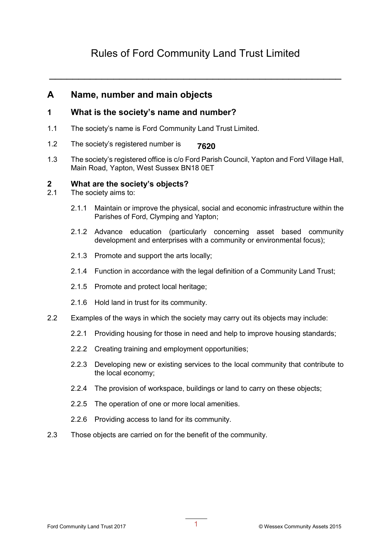## Rules of Ford Community Land Trust Limited

\_\_\_\_\_\_\_\_\_\_\_\_\_\_\_\_\_\_\_\_\_\_\_\_\_\_\_\_\_\_\_\_\_\_\_\_\_\_\_\_\_\_\_\_\_\_\_\_\_\_

### **A Name, number and main objects**

### **1 What is the society's name and number?**

- 1.1 The society's name is Ford Community Land Trust Limited.
- 1.2 The society's registered number is **[ ]**. **7620**
- 1.3 The society's registered office is c/o Ford Parish Council, Yapton and Ford Village Hall, Main Road, Yapton, West Sussex BN18 0ET

## **2 What are the society's objects?**<br>2.1 The society aims to:

- The society aims to:
	- 2.1.1 Maintain or improve the physical, social and economic infrastructure within the Parishes of Ford, Clymping and Yapton;
	- 2.1.2 Advance education (particularly concerning asset based community development and enterprises with a community or environmental focus);
	- 2.1.3 Promote and support the arts locally;
	- 2.1.4 Function in accordance with the legal definition of a Community Land Trust;
	- 2.1.5 Promote and protect local heritage;
	- 2.1.6 Hold land in trust for its community.
- 2.2 Examples of the ways in which the society may carry out its objects may include:
	- 2.2.1 Providing housing for those in need and help to improve housing standards;
	- 2.2.2 Creating training and employment opportunities;
	- 2.2.3 Developing new or existing services to the local community that contribute to the local economy;
	- 2.2.4 The provision of workspace, buildings or land to carry on these objects;
	- 2.2.5 The operation of one or more local amenities.
	- 2.2.6 Providing access to land for its community.
- 2.3 Those objects are carried on for the benefit of the community.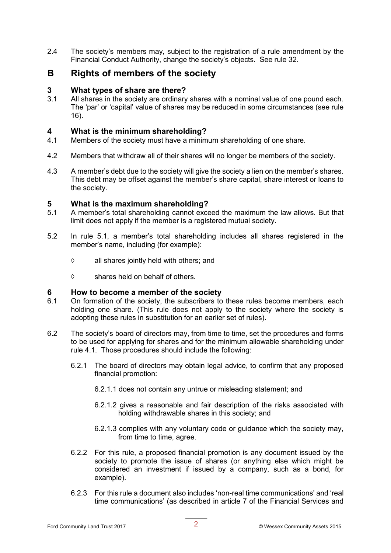2.4 The society's members may, subject to the registration of a rule amendment by the Financial Conduct Authority, change the society's objects. See rule 32.

### **B Rights of members of the society**

#### **3 What types of share are there?**

3.1 All shares in the society are ordinary shares with a nominal value of one pound each. The 'par' or 'capital' value of shares may be reduced in some circumstances (see rule 16).

#### **4 What is the minimum shareholding?**

- 4.1 Members of the society must have a minimum shareholding of one share.
- 4.2 Members that withdraw all of their shares will no longer be members of the society.
- 4.3 A member's debt due to the society will give the society a lien on the member's shares. This debt may be offset against the member's share capital, share interest or loans to the society.

#### **5 What is the maximum shareholding?**

- 5.1 A member's total shareholding cannot exceed the maximum the law allows. But that limit does not apply if the member is a registered mutual society.
- 5.2 In rule 5.1, a member's total shareholding includes all shares registered in the member's name, including (for example):
	- $\Diamond$  all shares jointly held with others; and
	- $\diamond$  shares held on behalf of others.

#### **6 How to become a member of the society**

- 6.1 On formation of the society, the subscribers to these rules become members, each holding one share. (This rule does not apply to the society where the society is adopting these rules in substitution for an earlier set of rules).
- 6.2 The society's board of directors may, from time to time, set the procedures and forms to be used for applying for shares and for the minimum allowable shareholding under rule 4.1. Those procedures should include the following:
	- 6.2.1 The board of directors may obtain legal advice, to confirm that any proposed financial promotion:
		- 6.2.1.1 does not contain any untrue or misleading statement; and
		- 6.2.1.2 gives a reasonable and fair description of the risks associated with holding withdrawable shares in this society; and
		- 6.2.1.3 complies with any voluntary code or guidance which the society may, from time to time, agree.
	- 6.2.2 For this rule, a proposed financial promotion is any document issued by the society to promote the issue of shares (or anything else which might be considered an investment if issued by a company, such as a bond, for example).
	- 6.2.3 For this rule a document also includes 'non-real time communications' and 'real time communications' (as described in article 7 of the Financial Services and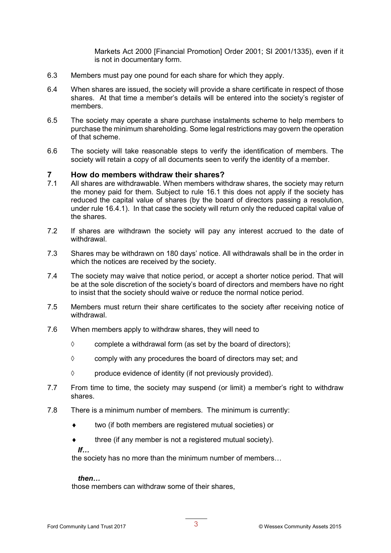Markets Act 2000 [Financial Promotion] Order 2001; SI 2001/1335), even if it is not in documentary form.

- 6.3 Members must pay one pound for each share for which they apply.
- 6.4 When shares are issued, the society will provide a share certificate in respect of those shares. At that time a member's details will be entered into the society's register of members.
- 6.5 The society may operate a share purchase instalments scheme to help members to purchase the minimum shareholding. Some legal restrictions may govern the operation of that scheme.
- 6.6 The society will take reasonable steps to verify the identification of members. The society will retain a copy of all documents seen to verify the identity of a member.

#### **7 How do members withdraw their shares?**

- 7.1 All shares are withdrawable. When members withdraw shares, the society may return the money paid for them. Subject to rule 16.1 this does not apply if the society has reduced the capital value of shares (by the board of directors passing a resolution, under rule 16.4.1). In that case the society will return only the reduced capital value of the shares.
- 7.2 If shares are withdrawn the society will pay any interest accrued to the date of withdrawal.
- 7.3 Shares may be withdrawn on 180 days' notice. All withdrawals shall be in the order in which the notices are received by the society.
- 7.4 The society may waive that notice period, or accept a shorter notice period. That will be at the sole discretion of the society's board of directors and members have no right to insist that the society should waive or reduce the normal notice period.
- 7.5 Members must return their share certificates to the society after receiving notice of withdrawal.
- 7.6 When members apply to withdraw shares, they will need to
	- $\diamond$  complete a withdrawal form (as set by the board of directors);
	- $\diamond$  comply with any procedures the board of directors may set; and
	- $\diamond$  produce evidence of identity (if not previously provided).
- 7.7 From time to time, the society may suspend (or limit) a member's right to withdraw shares.
- 7.8 There is a minimum number of members. The minimum is currently:
	- $\bullet$  two (if both members are registered mutual societies) or
	- $\bullet$  three (if any member is not a registered mutual society).

 $H_{\ldots}$ 

the society has no more than the minimum number of members…

#### *then…*

those members can withdraw some of their shares,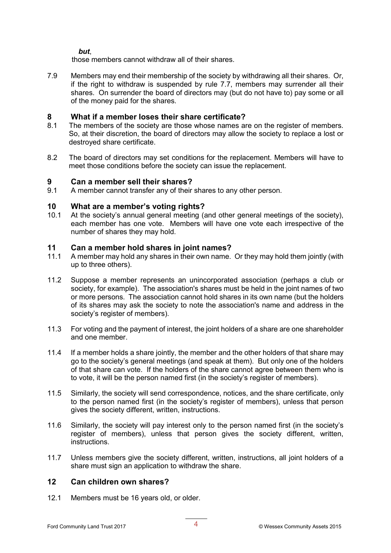*but*,

those members cannot withdraw all of their shares.

7.9 Members may end their membership of the society by withdrawing all their shares. Or, if the right to withdraw is suspended by rule 7.7, members may surrender all their shares. On surrender the board of directors may (but do not have to) pay some or all of the money paid for the shares.

#### **8 What if a member loses their share certificate?**

- 8.1 The members of the society are those whose names are on the register of members. So, at their discretion, the board of directors may allow the society to replace a lost or destroyed share certificate.
- 8.2 The board of directors may set conditions for the replacement. Members will have to meet those conditions before the society can issue the replacement.

#### **9 Can a member sell their shares?**

9.1 A member cannot transfer any of their shares to any other person.

# **10 What are a member's voting rights?**

At the society's annual general meeting (and other general meetings of the society), each member has one vote. Members will have one vote each irrespective of the number of shares they may hold.

#### **11 Can a member hold shares in joint names?**

- 11.1 A member may hold any shares in their own name. Or they may hold them jointly (with up to three others).
- 11.2 Suppose a member represents an unincorporated association (perhaps a club or society, for example). The association's shares must be held in the joint names of two or more persons. The association cannot hold shares in its own name (but the holders of its shares may ask the society to note the association's name and address in the society's register of members).
- 11.3 For voting and the payment of interest, the joint holders of a share are one shareholder and one member.
- 11.4 If a member holds a share jointly, the member and the other holders of that share may go to the society's general meetings (and speak at them). But only one of the holders of that share can vote. If the holders of the share cannot agree between them who is to vote, it will be the person named first (in the society's register of members).
- 11.5 Similarly, the society will send correspondence, notices, and the share certificate, only to the person named first (in the society's register of members), unless that person gives the society different, written, instructions.
- 11.6 Similarly, the society will pay interest only to the person named first (in the society's register of members), unless that person gives the society different, written, instructions.
- 11.7 Unless members give the society different, written, instructions, all joint holders of a share must sign an application to withdraw the share.

#### **12 Can children own shares?**

12.1 Members must be 16 years old, or older.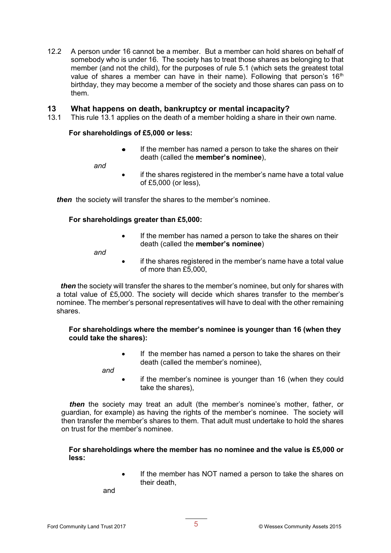12.2 A person under 16 cannot be a member. But a member can hold shares on behalf of somebody who is under 16. The society has to treat those shares as belonging to that member (and not the child), for the purposes of rule 5.1 (which sets the greatest total value of shares a member can have in their name). Following that person's  $16<sup>th</sup>$ birthday, they may become a member of the society and those shares can pass on to them.

#### **13 What happens on death, bankruptcy or mental incapacity?**

13.1 This rule 13.1 applies on the death of a member holding a share in their own name.

#### **For shareholdings of £5,000 or less:**

 $\bullet$ If the member has named a person to take the shares on their death (called the **member's nominee**),

*and*

if the shares registered in the member's name have a total value of £5,000 (or less),

*then* the society will transfer the shares to the member's nominee.

#### **For shareholdings greater than £5,000:**

• If the member has named a person to take the shares on their death (called the **member's nominee**)

*and*

• if the shares registered in the member's name have a total value of more than £5,000,

 *then* the society will transfer the shares to the member's nominee, but only for shares with a total value of £5,000. The society will decide which shares transfer to the member's nominee. The member's personal representatives will have to deal with the other remaining shares.

#### **For shareholdings where the member's nominee is younger than 16 (when they could take the shares):**

• If the member has named a person to take the shares on their death (called the member's nominee),

 *and*

if the member's nominee is younger than 16 (when they could take the shares),

 *then* the society may treat an adult (the member's nominee's mother, father, or guardian, for example) as having the rights of the member's nominee. The society will then transfer the member's shares to them. That adult must undertake to hold the shares on trust for the member's nominee.

#### **For shareholdings where the member has no nominee and the value is £5,000 or less:**

If the member has NOT named a person to take the shares on their death,

and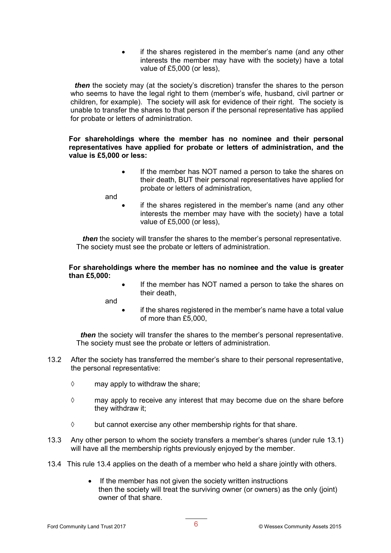• if the shares registered in the member's name (and any other interests the member may have with the society) have a total value of £5,000 (or less),

*then* the society may (at the society's discretion) transfer the shares to the person who seems to have the legal right to them (member's wife, husband, civil partner or children, for example). The society will ask for evidence of their right. The society is unable to transfer the shares to that person if the personal representative has applied for probate or letters of administration.

**For shareholdings where the member has no nominee and their personal representatives have applied for probate or letters of administration, and the value is £5,000 or less:**

> • If the member has NOT named a person to take the shares on their death, BUT their personal representatives have applied for probate or letters of administration,

and

if the shares registered in the member's name (and any other interests the member may have with the society) have a total value of £5,000 (or less),

 *then* the society will transfer the shares to the member's personal representative. The society must see the probate or letters of administration.

#### **For shareholdings where the member has no nominee and the value is greater than £5,000:**

If the member has NOT named a person to take the shares on their death,

and

if the shares registered in the member's name have a total value of more than £5,000,

 *then* the society will transfer the shares to the member's personal representative. The society must see the probate or letters of administration.

- 13.2 After the society has transferred the member's share to their personal representative, the personal representative:
	- $\diamond$  may apply to withdraw the share;
	- $\diamond$  may apply to receive any interest that may become due on the share before they withdraw it;
	- $\diamond$  but cannot exercise any other membership rights for that share.
- 13.3 Any other person to whom the society transfers a member's shares (under rule 13.1) will have all the membership rights previously enjoyed by the member.
- 13.4 This rule 13.4 applies on the death of a member who held a share jointly with others.
	- If the member has not given the society written instructions then the society will treat the surviving owner (or owners) as the only (joint) owner of that share.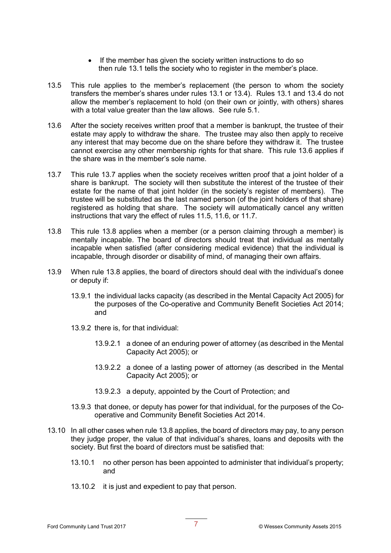- If the member has given the society written instructions to do so then rule 13.1 tells the society who to register in the member's place.
- 13.5 This rule applies to the member's replacement (the person to whom the society transfers the member's shares under rules 13.1 or 13.4). Rules 13.1 and 13.4 do not allow the member's replacement to hold (on their own or jointly, with others) shares with a total value greater than the law allows. See rule 5.1.
- 13.6 After the society receives written proof that a member is bankrupt, the trustee of their estate may apply to withdraw the share. The trustee may also then apply to receive any interest that may become due on the share before they withdraw it. The trustee cannot exercise any other membership rights for that share. This rule 13.6 applies if the share was in the member's sole name.
- 13.7 This rule 13.7 applies when the society receives written proof that a joint holder of a share is bankrupt. The society will then substitute the interest of the trustee of their estate for the name of that joint holder (in the society's register of members). The trustee will be substituted as the last named person (of the joint holders of that share) registered as holding that share. The society will automatically cancel any written instructions that vary the effect of rules 11.5, 11.6, or 11.7.
- 13.8 This rule 13.8 applies when a member (or a person claiming through a member) is mentally incapable. The board of directors should treat that individual as mentally incapable when satisfied (after considering medical evidence) that the individual is incapable, through disorder or disability of mind, of managing their own affairs.
- 13.9 When rule 13.8 applies, the board of directors should deal with the individual's donee or deputy if:
	- 13.9.1 the individual lacks capacity (as described in the Mental Capacity Act 2005) for the purposes of the Co-operative and Community Benefit Societies Act 2014; and
	- 13.9.2 there is, for that individual:
		- 13.9.2.1 a donee of an enduring power of attorney (as described in the Mental Capacity Act 2005); or
		- 13.9.2.2 a donee of a lasting power of attorney (as described in the Mental Capacity Act 2005); or
		- 13.9.2.3 a deputy, appointed by the Court of Protection; and
	- 13.9.3 that donee, or deputy has power for that individual, for the purposes of the Cooperative and Community Benefit Societies Act 2014.
- 13.10 In all other cases when rule 13.8 applies, the board of directors may pay, to any person they judge proper, the value of that individual's shares, loans and deposits with the society. But first the board of directors must be satisfied that:
	- 13.10.1 no other person has been appointed to administer that individual's property; and
	- 13.10.2 it is just and expedient to pay that person.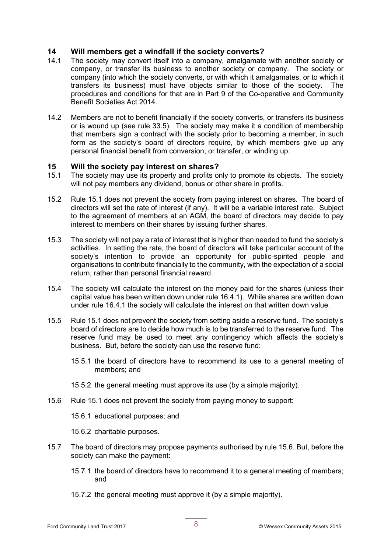#### **14 Will members get a windfall if the society converts?**

- 14.1 The society may convert itself into a company, amalgamate with another society or company, or transfer its business to another society or company. The society or company (into which the society converts, or with which it amalgamates, or to which it transfers its business) must have objects similar to those of the society. The procedures and conditions for that are in Part 9 of the Co-operative and Community Benefit Societies Act 2014.
- 14.2 Members are not to benefit financially if the society converts, or transfers its business or is wound up (see rule 33.5). The society may make it a condition of membership that members sign a contract with the society prior to becoming a member, in such form as the society's board of directors require, by which members give up any personal financial benefit from conversion, or transfer, or winding up.

#### **15 Will the society pay interest on shares?**

- 15.1 The society may use its property and profits only to promote its objects. The society will not pay members any dividend, bonus or other share in profits.
- 15.2 Rule 15.1 does not prevent the society from paying interest on shares. The board of directors will set the rate of interest (if any). It will be a variable interest rate. Subject to the agreement of members at an AGM, the board of directors may decide to pay interest to members on their shares by issuing further shares.
- 15.3 The society will not pay a rate of interest that is higher than needed to fund the society's activities. In setting the rate, the board of directors will take particular account of the society's intention to provide an opportunity for public-spirited people and organisations to contribute financially to the community, with the expectation of a social return, rather than personal financial reward.
- 15.4 The society will calculate the interest on the money paid for the shares (unless their capital value has been written down under rule 16.4.1). While shares are written down under rule 16.4.1 the society will calculate the interest on that written down value.
- 15.5 Rule 15.1 does not prevent the society from setting aside a reserve fund. The society's board of directors are to decide how much is to be transferred to the reserve fund. The reserve fund may be used to meet any contingency which affects the society's business. But, before the society can use the reserve fund:
	- 15.5.1 the board of directors have to recommend its use to a general meeting of members; and
	- 15.5.2 the general meeting must approve its use (by a simple majority).
- 15.6 Rule 15.1 does not prevent the society from paying money to support:
	- 15.6.1 educational purposes; and
	- 15.6.2 charitable purposes.
- 15.7 The board of directors may propose payments authorised by rule 15.6. But, before the society can make the payment:
	- 15.7.1 the board of directors have to recommend it to a general meeting of members; and
	- 15.7.2 the general meeting must approve it (by a simple majority).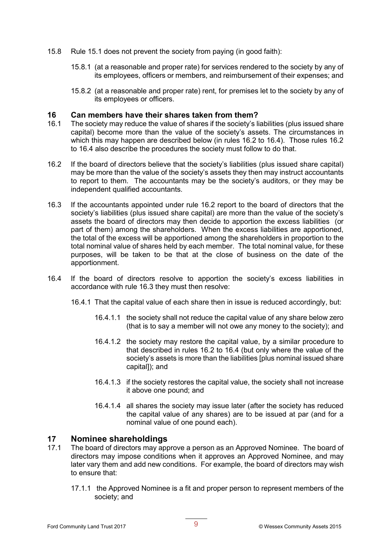- 15.8 Rule 15.1 does not prevent the society from paying (in good faith):
	- 15.8.1 (at a reasonable and proper rate) for services rendered to the society by any of its employees, officers or members, and reimbursement of their expenses; and
	- 15.8.2 (at a reasonable and proper rate) rent, for premises let to the society by any of its employees or officers.

#### **16 Can members have their shares taken from them?**

- 16.1 The society may reduce the value of shares if the society's liabilities (plus issued share capital) become more than the value of the society's assets. The circumstances in which this may happen are described below (in rules 16.2 to 16.4). Those rules 16.2 to 16.4 also describe the procedures the society must follow to do that.
- 16.2 If the board of directors believe that the society's liabilities (plus issued share capital) may be more than the value of the society's assets they then may instruct accountants to report to them. The accountants may be the society's auditors, or they may be independent qualified accountants.
- 16.3 If the accountants appointed under rule 16.2 report to the board of directors that the society's liabilities (plus issued share capital) are more than the value of the society's assets the board of directors may then decide to apportion the excess liabilities (or part of them) among the shareholders. When the excess liabilities are apportioned, the total of the excess will be apportioned among the shareholders in proportion to the total nominal value of shares held by each member. The total nominal value, for these purposes, will be taken to be that at the close of business on the date of the apportionment.
- 16.4 If the board of directors resolve to apportion the society's excess liabilities in accordance with rule 16.3 they must then resolve:
	- 16.4.1 That the capital value of each share then in issue is reduced accordingly, but:
		- 16.4.1.1 the society shall not reduce the capital value of any share below zero (that is to say a member will not owe any money to the society); and
		- 16.4.1.2 the society may restore the capital value, by a similar procedure to that described in rules 16.2 to 16.4 (but only where the value of the society's assets is more than the liabilities [plus nominal issued share capital]); and
		- 16.4.1.3 if the society restores the capital value, the society shall not increase it above one pound; and
		- 16.4.1.4 all shares the society may issue later (after the society has reduced the capital value of any shares) are to be issued at par (and for a nominal value of one pound each).

#### **17 Nominee shareholdings**

- 17.1 The board of directors may approve a person as an Approved Nominee. The board of directors may impose conditions when it approves an Approved Nominee, and may later vary them and add new conditions. For example, the board of directors may wish to ensure that:
	- 17.1.1 the Approved Nominee is a fit and proper person to represent members of the society; and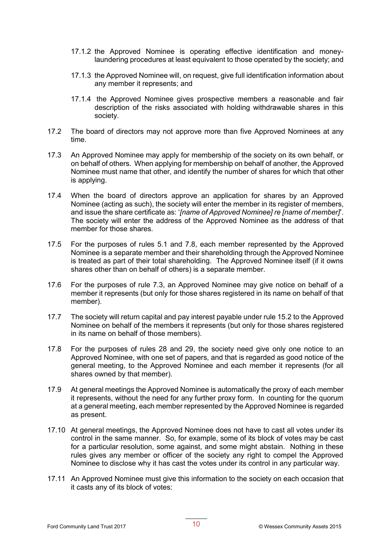- 17.1.2 the Approved Nominee is operating effective identification and moneylaundering procedures at least equivalent to those operated by the society; and
- 17.1.3 the Approved Nominee will, on request, give full identification information about any member it represents; and
- 17.1.4 the Approved Nominee gives prospective members a reasonable and fair description of the risks associated with holding withdrawable shares in this society.
- 17.2 The board of directors may not approve more than five Approved Nominees at any time.
- 17.3 An Approved Nominee may apply for membership of the society on its own behalf, or on behalf of others. When applying for membership on behalf of another, the Approved Nominee must name that other, and identify the number of shares for which that other is applying.
- 17.4 When the board of directors approve an application for shares by an Approved Nominee (acting as such), the society will enter the member in its register of members, and issue the share certificate as: '*[name of Approved Nominee] re [name of member]*'. The society will enter the address of the Approved Nominee as the address of that member for those shares.
- 17.5 For the purposes of rules 5.1 and 7.8, each member represented by the Approved Nominee is a separate member and their shareholding through the Approved Nominee is treated as part of their total shareholding. The Approved Nominee itself (if it owns shares other than on behalf of others) is a separate member.
- 17.6 For the purposes of rule 7.3, an Approved Nominee may give notice on behalf of a member it represents (but only for those shares registered in its name on behalf of that member).
- 17.7 The society will return capital and pay interest payable under rule 15.2 to the Approved Nominee on behalf of the members it represents (but only for those shares registered in its name on behalf of those members).
- 17.8 For the purposes of rules 28 and 29, the society need give only one notice to an Approved Nominee, with one set of papers, and that is regarded as good notice of the general meeting, to the Approved Nominee and each member it represents (for all shares owned by that member).
- 17.9 At general meetings the Approved Nominee is automatically the proxy of each member it represents, without the need for any further proxy form. In counting for the quorum at a general meeting, each member represented by the Approved Nominee is regarded as present.
- 17.10 At general meetings, the Approved Nominee does not have to cast all votes under its control in the same manner. So, for example, some of its block of votes may be cast for a particular resolution, some against, and some might abstain. Nothing in these rules gives any member or officer of the society any right to compel the Approved Nominee to disclose why it has cast the votes under its control in any particular way.
- 17.11 An Approved Nominee must give this information to the society on each occasion that it casts any of its block of votes: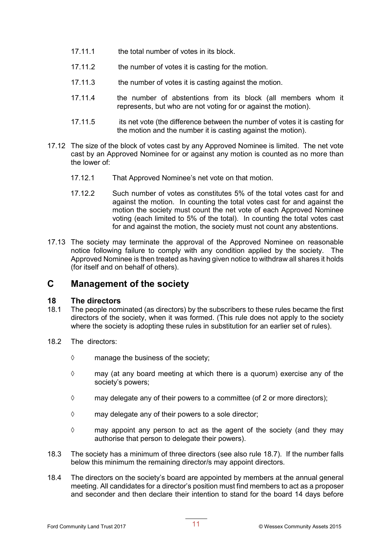- 17.11.1 the total number of votes in its block.
- 17.11.2 the number of votes it is casting for the motion.
- 17.11.3 the number of votes it is casting against the motion.
- 17.11.4 the number of abstentions from its block (all members whom it represents, but who are not voting for or against the motion).
- 17.11.5 its net vote (the difference between the number of votes it is casting for the motion and the number it is casting against the motion).
- 17.12 The size of the block of votes cast by any Approved Nominee is limited. The net vote cast by an Approved Nominee for or against any motion is counted as no more than the lower of:
	- 17.12.1 That Approved Nominee's net vote on that motion.
	- 17.12.2 Such number of votes as constitutes 5% of the total votes cast for and against the motion. In counting the total votes cast for and against the motion the society must count the net vote of each Approved Nominee voting (each limited to 5% of the total). In counting the total votes cast for and against the motion, the society must not count any abstentions.
- 17.13 The society may terminate the approval of the Approved Nominee on reasonable notice following failure to comply with any condition applied by the society. The Approved Nominee is then treated as having given notice to withdraw all shares it holds (for itself and on behalf of others).

### **C Management of the society**

#### **18 The directors**

- 18.1 The people nominated (as directors) by the subscribers to these rules became the first directors of the society, when it was formed. (This rule does not apply to the society where the society is adopting these rules in substitution for an earlier set of rules).
- 18.2 The directors:
	- $\diamond$  manage the business of the society;
	- $\diamond$  may (at any board meeting at which there is a quorum) exercise any of the society's powers;
	- $\diamond$  may delegate any of their powers to a committee (of 2 or more directors);
	- $\diamond$  may delegate any of their powers to a sole director;
	- $\Diamond$  may appoint any person to act as the agent of the society (and they may authorise that person to delegate their powers).
- 18.3 The society has a minimum of three directors (see also rule 18.7). If the number falls below this minimum the remaining director/s may appoint directors.
- 18.4 The directors on the society's board are appointed by members at the annual general meeting. All candidates for a director's position must find members to act as a proposer and seconder and then declare their intention to stand for the board 14 days before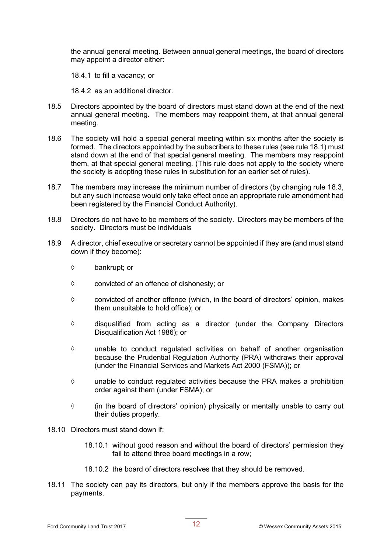the annual general meeting. Between annual general meetings, the board of directors may appoint a director either:

18.4.1 to fill a vacancy; or

18.4.2 as an additional director.

- 18.5 Directors appointed by the board of directors must stand down at the end of the next annual general meeting. The members may reappoint them, at that annual general meeting.
- 18.6 The society will hold a special general meeting within six months after the society is formed. The directors appointed by the subscribers to these rules (see rule 18.1) must stand down at the end of that special general meeting. The members may reappoint them, at that special general meeting. (This rule does not apply to the society where the society is adopting these rules in substitution for an earlier set of rules).
- 18.7 The members may increase the minimum number of directors (by changing rule 18.3, but any such increase would only take effect once an appropriate rule amendment had been registered by the Financial Conduct Authority).
- 18.8 Directors do not have to be members of the society. Directors may be members of the society. Directors must be individuals
- 18.9 A director, chief executive or secretary cannot be appointed if they are (and must stand down if they become):
	- $\diamond$  bankrupt; or
	- $\diamond$  convicted of an offence of dishonesty; or
	- $\diamond$  convicted of another offence (which, in the board of directors' opinion, makes them unsuitable to hold office); or
	- $\diamond$  disqualified from acting as a director (under the Company Directors Disqualification Act 1986); or
	- $\diamond$  unable to conduct requiated activities on behalf of another organisation because the Prudential Regulation Authority (PRA) withdraws their approval (under the Financial Services and Markets Act 2000 (FSMA)); or
	- $\diamond$  unable to conduct regulated activities because the PRA makes a prohibition order against them (under FSMA); or
	- $\diamond$  (in the board of directors' opinion) physically or mentally unable to carry out their duties properly.
- 18.10 Directors must stand down if:
	- 18.10.1 without good reason and without the board of directors' permission they fail to attend three board meetings in a row;
	- 18.10.2 the board of directors resolves that they should be removed.
- 18.11 The society can pay its directors, but only if the members approve the basis for the payments.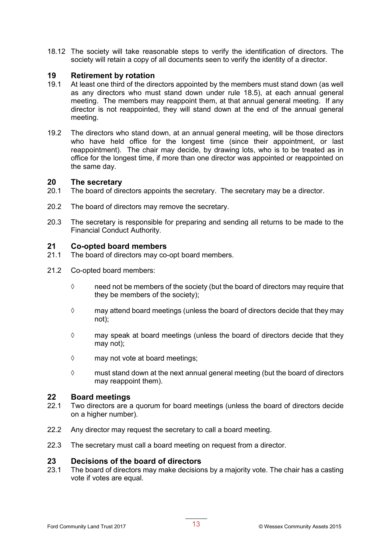18.12 The society will take reasonable steps to verify the identification of directors. The society will retain a copy of all documents seen to verify the identity of a director.

## **19 Retirement by rotation**

- At least one third of the directors appointed by the members must stand down (as well as any directors who must stand down under rule 18.5), at each annual general meeting. The members may reappoint them, at that annual general meeting. If any director is not reappointed, they will stand down at the end of the annual general meeting.
- 19.2 The directors who stand down, at an annual general meeting, will be those directors who have held office for the longest time (since their appointment, or last reappointment). The chair may decide, by drawing lots, who is to be treated as in office for the longest time, if more than one director was appointed or reappointed on the same day.

#### **20 The secretary**

- 20.1 The board of directors appoints the secretary. The secretary may be a director.
- 20.2 The board of directors may remove the secretary.
- 20.3 The secretary is responsible for preparing and sending all returns to be made to the Financial Conduct Authority.

#### **21 Co-opted board members**

- 21.1 The board of directors may co-opt board members.
- 21.2 Co-opted board members:
	- $\diamond$  need not be members of the society (but the board of directors may require that they be members of the society);
	- $\diamond$  may attend board meetings (unless the board of directors decide that they may not);
	- $\diamond$  may speak at board meetings (unless the board of directors decide that they may not);
	- $\diamond$  may not vote at board meetings;
	- $\diamond$  must stand down at the next annual general meeting (but the board of directors may reappoint them).

#### **22 Board meetings**

- 22.1 Two directors are a quorum for board meetings (unless the board of directors decide on a higher number).
- 22.2 Any director may request the secretary to call a board meeting.
- 22.3 The secretary must call a board meeting on request from a director.

#### **23 Decisions of the board of directors**

23.1 The board of directors may make decisions by a majority vote. The chair has a casting vote if votes are equal.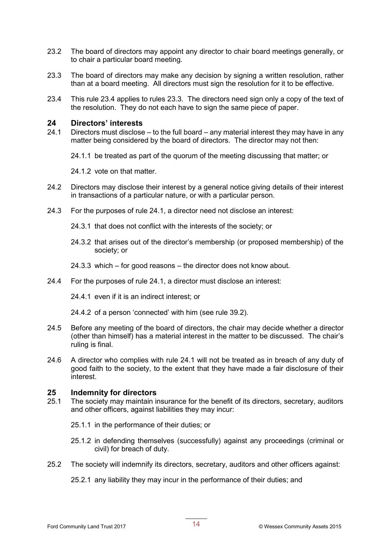- 23.2 The board of directors may appoint any director to chair board meetings generally, or to chair a particular board meeting.
- 23.3 The board of directors may make any decision by signing a written resolution, rather than at a board meeting. All directors must sign the resolution for it to be effective.
- 23.4 This rule 23.4 applies to rules 23.3. The directors need sign only a copy of the text of the resolution. They do not each have to sign the same piece of paper.

#### **24 Directors' interests**

24.1 Directors must disclose – to the full board – any material interest they may have in any matter being considered by the board of directors. The director may not then:

24.1.1 be treated as part of the quorum of the meeting discussing that matter; or

24.1.2 vote on that matter.

- 24.2 Directors may disclose their interest by a general notice giving details of their interest in transactions of a particular nature, or with a particular person.
- 24.3 For the purposes of rule 24.1, a director need not disclose an interest:
	- 24.3.1 that does not conflict with the interests of the society; or
	- 24.3.2 that arises out of the director's membership (or proposed membership) of the society; or
	- 24.3.3 which for good reasons the director does not know about.
- 24.4 For the purposes of rule 24.1, a director must disclose an interest:

24.4.1 even if it is an indirect interest; or

24.4.2 of a person 'connected' with him (see rule 39.2).

- 24.5 Before any meeting of the board of directors, the chair may decide whether a director (other than himself) has a material interest in the matter to be discussed. The chair's ruling is final.
- 24.6 A director who complies with rule 24.1 will not be treated as in breach of any duty of good faith to the society, to the extent that they have made a fair disclosure of their interest.

#### **25 Indemnity for directors**

- 25.1 The society may maintain insurance for the benefit of its directors, secretary, auditors and other officers, against liabilities they may incur:
	- 25.1.1 in the performance of their duties; or
	- 25.1.2 in defending themselves (successfully) against any proceedings (criminal or civil) for breach of duty.
- 25.2 The society will indemnify its directors, secretary, auditors and other officers against:

25.2.1 any liability they may incur in the performance of their duties; and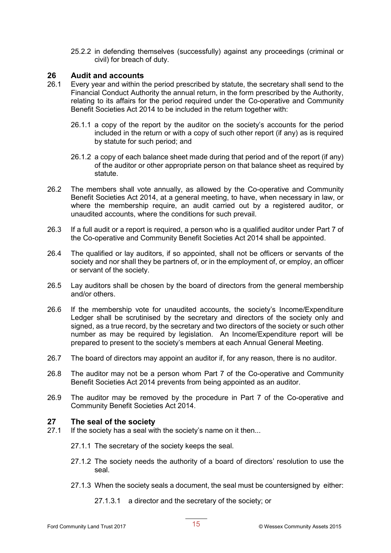25.2.2 in defending themselves (successfully) against any proceedings (criminal or civil) for breach of duty.

## **26 Audit and accounts**

- Every year and within the period prescribed by statute, the secretary shall send to the Financial Conduct Authority the annual return, in the form prescribed by the Authority, relating to its affairs for the period required under the Co-operative and Community Benefit Societies Act 2014 to be included in the return together with:
	- 26.1.1 a copy of the report by the auditor on the society's accounts for the period included in the return or with a copy of such other report (if any) as is required by statute for such period; and
	- 26.1.2 a copy of each balance sheet made during that period and of the report (if any) of the auditor or other appropriate person on that balance sheet as required by statute.
- 26.2 The members shall vote annually, as allowed by the Co-operative and Community Benefit Societies Act 2014, at a general meeting, to have, when necessary in law, or where the membership require, an audit carried out by a registered auditor, or unaudited accounts, where the conditions for such prevail.
- 26.3 If a full audit or a report is required, a person who is a qualified auditor under Part 7 of the Co-operative and Community Benefit Societies Act 2014 shall be appointed.
- 26.4 The qualified or lay auditors, if so appointed, shall not be officers or servants of the society and nor shall they be partners of, or in the employment of, or employ, an officer or servant of the society.
- 26.5 Lay auditors shall be chosen by the board of directors from the general membership and/or others.
- 26.6 If the membership vote for unaudited accounts, the society's Income/Expenditure Ledger shall be scrutinised by the secretary and directors of the society only and signed, as a true record, by the secretary and two directors of the society or such other number as may be required by legislation. An Income/Expenditure report will be prepared to present to the society's members at each Annual General Meeting.
- 26.7 The board of directors may appoint an auditor if, for any reason, there is no auditor.
- 26.8 The auditor may not be a person whom Part 7 of the Co-operative and Community Benefit Societies Act 2014 prevents from being appointed as an auditor.
- 26.9 The auditor may be removed by the procedure in Part 7 of the Co-operative and Community Benefit Societies Act 2014.

#### **27 The seal of the society**

- 27.1 If the society has a seal with the society's name on it then...
	- 27.1.1 The secretary of the society keeps the seal.
	- 27.1.2 The society needs the authority of a board of directors' resolution to use the seal.
	- 27.1.3 When the society seals a document, the seal must be countersigned by either:
		- 27.1.3.1 a director and the secretary of the society; or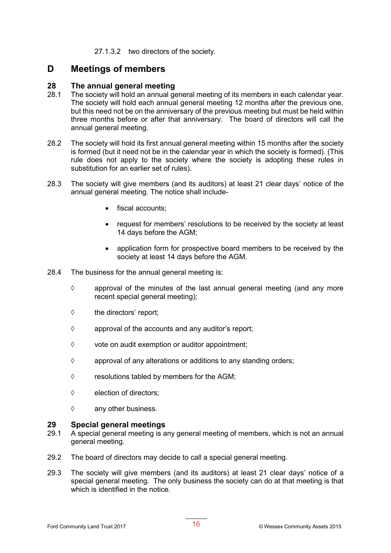27.1.3.2 two directors of the society.

### **D Meetings of members**

#### **28 The annual general meeting**

- 28.1 The society will hold an annual general meeting of its members in each calendar year. The society will hold each annual general meeting 12 months after the previous one, but this need not be on the anniversary of the previous meeting but must be held within three months before or after that anniversary. The board of directors will call the annual general meeting.
- 28.2 The society will hold its first annual general meeting within 15 months after the society is formed (but it need not be in the calendar year in which the society is formed). (This rule does not apply to the society where the society is adopting these rules in substitution for an earlier set of rules).
- 28.3 The society will give members (and its auditors) at least 21 clear days' notice of the annual general meeting. The notice shall include-
	- fiscal accounts:
	- request for members' resolutions to be received by the society at least 14 days before the AGM;
	- application form for prospective board members to be received by the society at least 14 days before the AGM.
- 28.4 The business for the annual general meeting is:
	- $\diamond$  approval of the minutes of the last annual general meeting (and any more recent special general meeting);
	- $\diamond$  the directors' report;
	- $\diamond$  approval of the accounts and any auditor's report;
	- $\diamond$  vote on audit exemption or auditor appointment;
	- $\diamond$  approval of any alterations or additions to any standing orders;
	- $\diamond$  resolutions tabled by members for the AGM;
	- $\Diamond$  election of directors:
	- $\diamond$  any other business.

#### **29 Special general meetings**

- 29.1 A special general meeting is any general meeting of members, which is not an annual general meeting.
- 29.2 The board of directors may decide to call a special general meeting.
- 29.3 The society will give members (and its auditors) at least 21 clear days' notice of a special general meeting. The only business the society can do at that meeting is that which is identified in the notice.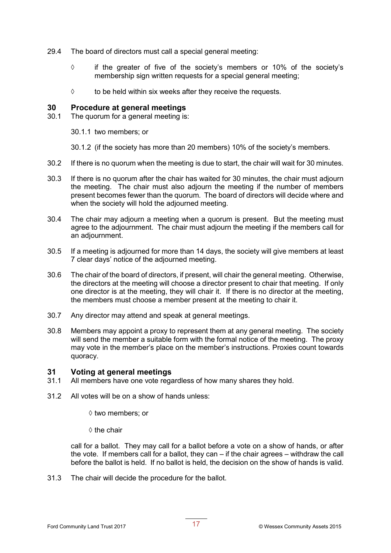- 29.4 The board of directors must call a special general meeting:
	- $\diamond$  if the greater of five of the society's members or 10% of the society's membership sign written requests for a special general meeting;
	- $\diamond$  to be held within six weeks after they receive the requests.

#### **30 Procedure at general meetings**

- 30.1 The quorum for a general meeting is:
	- 30.1.1 two members; or
	- 30.1.2 (if the society has more than 20 members) 10% of the society's members.
- 30.2 If there is no quorum when the meeting is due to start, the chair will wait for 30 minutes.
- 30.3 If there is no quorum after the chair has waited for 30 minutes, the chair must adjourn the meeting. The chair must also adjourn the meeting if the number of members present becomes fewer than the quorum. The board of directors will decide where and when the society will hold the adjourned meeting.
- 30.4 The chair may adjourn a meeting when a quorum is present. But the meeting must agree to the adjournment. The chair must adjourn the meeting if the members call for an adjournment.
- 30.5 If a meeting is adjourned for more than 14 days, the society will give members at least 7 clear days' notice of the adjourned meeting.
- 30.6 The chair of the board of directors, if present, will chair the general meeting. Otherwise, the directors at the meeting will choose a director present to chair that meeting. If only one director is at the meeting, they will chair it. If there is no director at the meeting, the members must choose a member present at the meeting to chair it.
- 30.7 Any director may attend and speak at general meetings.
- 30.8 Members may appoint a proxy to represent them at any general meeting. The society will send the member a suitable form with the formal notice of the meeting. The proxy may vote in the member's place on the member's instructions. Proxies count towards quoracy.

#### **31 Voting at general meetings**

- 31.1 All members have one vote regardless of how many shares they hold.
- 31.2 All votes will be on a show of hands unless:
	- $\diamond$  two members; or
	- $\diamond$  the chair

call for a ballot. They may call for a ballot before a vote on a show of hands, or after the vote. If members call for a ballot, they can – if the chair agrees – withdraw the call before the ballot is held. If no ballot is held, the decision on the show of hands is valid.

31.3 The chair will decide the procedure for the ballot.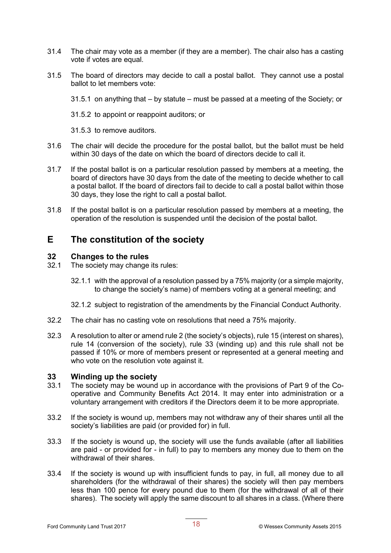- 31.4 The chair may vote as a member (if they are a member). The chair also has a casting vote if votes are equal.
- 31.5 The board of directors may decide to call a postal ballot. They cannot use a postal ballot to let members vote:
	- 31.5.1 on anything that by statute must be passed at a meeting of the Society; or
	- 31.5.2 to appoint or reappoint auditors; or
	- 31.5.3 to remove auditors.
- 31.6 The chair will decide the procedure for the postal ballot, but the ballot must be held within 30 days of the date on which the board of directors decide to call it.
- 31.7 If the postal ballot is on a particular resolution passed by members at a meeting, the board of directors have 30 days from the date of the meeting to decide whether to call a postal ballot. If the board of directors fail to decide to call a postal ballot within those 30 days, they lose the right to call a postal ballot.
- 31.8 If the postal ballot is on a particular resolution passed by members at a meeting, the operation of the resolution is suspended until the decision of the postal ballot.

### **E The constitution of the society**

#### **32 Changes to the rules**

- 32.1 The society may change its rules:
	- 32.1.1 with the approval of a resolution passed by a 75% majority (or a simple majority, to change the society's name) of members voting at a general meeting; and
	- 32.1.2 subject to registration of the amendments by the Financial Conduct Authority.
- 32.2 The chair has no casting vote on resolutions that need a 75% majority.
- 32.3 A resolution to alter or amend rule 2 (the society's objects), rule 15 (interest on shares), rule 14 (conversion of the society), rule 33 (winding up) and this rule shall not be passed if 10% or more of members present or represented at a general meeting and who vote on the resolution vote against it.

#### **33 Winding up the society**

- 33.1 The society may be wound up in accordance with the provisions of Part 9 of the Cooperative and Community Benefits Act 2014. It may enter into administration or a voluntary arrangement with creditors if the Directors deem it to be more appropriate.
- 33.2 If the society is wound up, members may not withdraw any of their shares until all the society's liabilities are paid (or provided for) in full.
- 33.3 If the society is wound up, the society will use the funds available (after all liabilities are paid - or provided for - in full) to pay to members any money due to them on the withdrawal of their shares
- 33.4 If the society is wound up with insufficient funds to pay, in full, all money due to all shareholders (for the withdrawal of their shares) the society will then pay members less than 100 pence for every pound due to them (for the withdrawal of all of their shares). The society will apply the same discount to all shares in a class. (Where there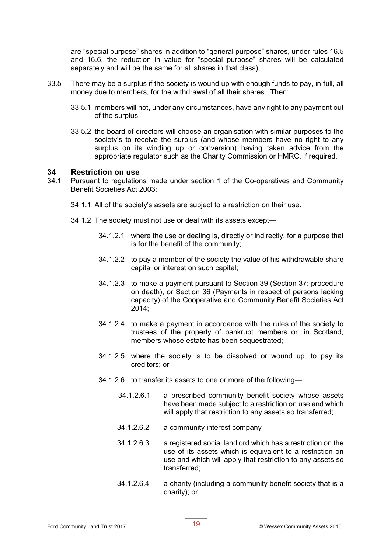are "special purpose" shares in addition to "general purpose" shares, under rules 16.5 and 16.6, the reduction in value for "special purpose" shares will be calculated separately and will be the same for all shares in that class).

- 33.5 There may be a surplus if the society is wound up with enough funds to pay, in full, all money due to members, for the withdrawal of all their shares. Then:
	- 33.5.1 members will not, under any circumstances, have any right to any payment out of the surplus.
	- 33.5.2 the board of directors will choose an organisation with similar purposes to the society's to receive the surplus (and whose members have no right to any surplus on its winding up or conversion) having taken advice from the appropriate regulator such as the Charity Commission or HMRC, if required.

#### **34 Restriction on use**

- 34.1 Pursuant to regulations made under section 1 of the Co-operatives and Community Benefit Societies Act 2003:
	- 34.1.1 All of the society's assets are subject to a restriction on their use.
	- 34.1.2 The society must not use or deal with its assets except—
		- 34.1.2.1 where the use or dealing is, directly or indirectly, for a purpose that is for the benefit of the community;
		- 34.1.2.2 to pay a member of the society the value of his withdrawable share capital or interest on such capital;
		- 34.1.2.3 to make a payment pursuant to Section 39 (Section 37: procedure on death), or Section 36 (Payments in respect of persons lacking capacity) of the Cooperative and Community Benefit Societies Act 2014;
		- 34.1.2.4 to make a payment in accordance with the rules of the society to trustees of the property of bankrupt members or, in Scotland, members whose estate has been sequestrated;
		- 34.1.2.5 where the society is to be dissolved or wound up, to pay its creditors; or
		- 34.1.2.6 to transfer its assets to one or more of the following—
			- 34.1.2.6.1 a prescribed community benefit society whose assets have been made subject to a restriction on use and which will apply that restriction to any assets so transferred;
			- 34.1.2.6.2 a community interest company
			- 34.1.2.6.3 a registered social landlord which has a restriction on the use of its assets which is equivalent to a restriction on use and which will apply that restriction to any assets so transferred;
			- 34.1.2.6.4 a charity (including a community benefit society that is a charity); or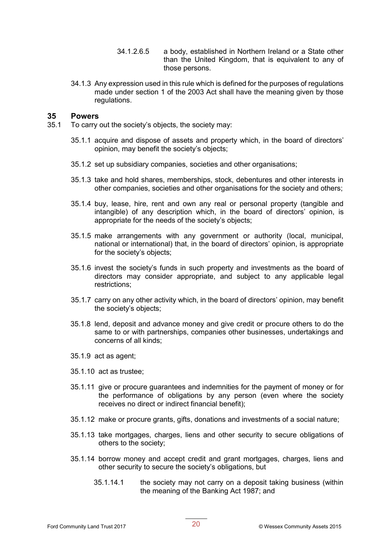- 34.1.2.6.5 a body, established in Northern Ireland or a State other than the United Kingdom, that is equivalent to any of those persons.
- 34.1.3 Any expression used in this rule which is defined for the purposes of regulations made under section 1 of the 2003 Act shall have the meaning given by those regulations.

#### **35 Powers**

- 35.1 To carry out the society's objects, the society may:
	- 35.1.1 acquire and dispose of assets and property which, in the board of directors' opinion, may benefit the society's objects;
	- 35.1.2 set up subsidiary companies, societies and other organisations;
	- 35.1.3 take and hold shares, memberships, stock, debentures and other interests in other companies, societies and other organisations for the society and others;
	- 35.1.4 buy, lease, hire, rent and own any real or personal property (tangible and intangible) of any description which, in the board of directors' opinion, is appropriate for the needs of the society's objects;
	- 35.1.5 make arrangements with any government or authority (local, municipal, national or international) that, in the board of directors' opinion, is appropriate for the society's objects;
	- 35.1.6 invest the society's funds in such property and investments as the board of directors may consider appropriate, and subject to any applicable legal restrictions;
	- 35.1.7 carry on any other activity which, in the board of directors' opinion, may benefit the society's objects;
	- 35.1.8 lend, deposit and advance money and give credit or procure others to do the same to or with partnerships, companies other businesses, undertakings and concerns of all kinds;
	- 35.1.9 act as agent;
	- 35.1.10 act as trustee;
	- 35.1.11 give or procure guarantees and indemnities for the payment of money or for the performance of obligations by any person (even where the society receives no direct or indirect financial benefit);
	- 35.1.12 make or procure grants, gifts, donations and investments of a social nature;
	- 35.1.13 take mortgages, charges, liens and other security to secure obligations of others to the society;
	- 35.1.14 borrow money and accept credit and grant mortgages, charges, liens and other security to secure the society's obligations, but
		- 35.1.14.1 the society may not carry on a deposit taking business (within the meaning of the Banking Act 1987; and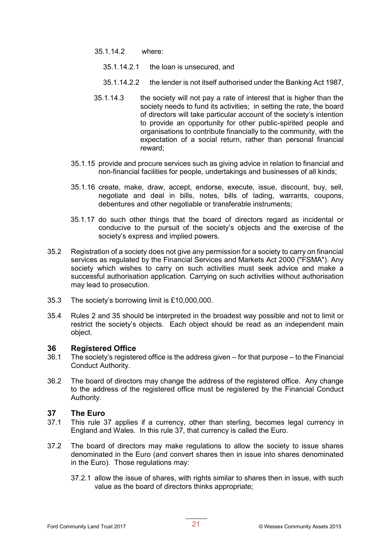- 35.1.14.2 where:
	- 35.1.14.2.1 the loan is unsecured, and
	- 35.1.14.2.2 the lender is not itself authorised under the Banking Act 1987,
- 35.1.14.3 the society will not pay a rate of interest that is higher than the society needs to fund its activities; in setting the rate, the board of directors will take particular account of the society's intention to provide an opportunity for other public-spirited people and organisations to contribute financially to the community, with the expectation of a social return, rather than personal financial reward;
- 35.1.15 provide and procure services such as giving advice in relation to financial and non-financial facilities for people, undertakings and businesses of all kinds;
- 35.1.16 create, make, draw, accept, endorse, execute, issue, discount, buy, sell, negotiate and deal in bills, notes, bills of lading, warrants, coupons, debentures and other negotiable or transferable instruments;
- 35.1.17 do such other things that the board of directors regard as incidental or conducive to the pursuit of the society's objects and the exercise of the society's express and implied powers.
- 35.2 Registration of a society does not give any permission for a society to carry on financial services as regulated by the Financial Services and Markets Act 2000 ("FSMA"). Any society which wishes to carry on such activities must seek advice and make a successful authorisation application. Carrying on such activities without authorisation may lead to prosecution.
- 35.3 The society's borrowing limit is £10,000,000.
- 35.4 Rules 2 and 35 should be interpreted in the broadest way possible and not to limit or restrict the society's objects. Each object should be read as an independent main object.

## **36 Registered Office**<br>36.1 The society's register

- The society's registered office is the address given for that purpose to the Financial Conduct Authority.
- 36.2 The board of directors may change the address of the registered office. Any change to the address of the registered office must be registered by the Financial Conduct Authority.

## **37 The Euro**

- This rule 37 applies if a currency, other than sterling, becomes legal currency in England and Wales. In this rule 37, that currency is called the Euro.
- 37.2 The board of directors may make regulations to allow the society to issue shares denominated in the Euro (and convert shares then in issue into shares denominated in the Euro). Those regulations may:
	- 37.2.1 allow the issue of shares, with rights similar to shares then in issue, with such value as the board of directors thinks appropriate;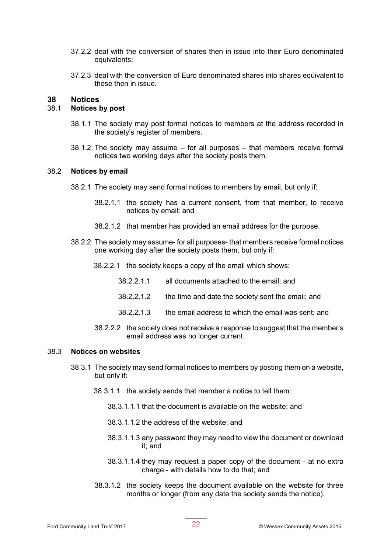- 37.2.2 deal with the conversion of shares then in issue into their Euro denominated equivalents;
- 37.2.3 deal with the conversion of Euro denominated shares into shares equivalent to those then in issue.

#### **38 Notices**

#### 38.1 **Notices by post**

- 38.1.1 The society may post formal notices to members at the address recorded in the society's register of members.
- 38.1.2 The society may assume for all purposes that members receive formal notices two working days after the society posts them.

#### 38.2 **Notices by email**

- 38.2.1 The society may send formal notices to members by email, but only if:
	- 38.2.1.1 the society has a current consent, from that member, to receive notices by email: and
	- 38.2.1.2 that member has provided an email address for the purpose.
- 38.2.2 The society may assume- for all purposes- that members receive formal notices one working day after the society posts them, but only if:
	- 38.2.2.1 the society keeps a copy of the email which shows:
		- 38.2.2.1.1 all documents attached to the email; and
		- 38.2.2.1.2 the time and date the society sent the email; and
		- 38.2.2.1.3 the email address to which the email was sent; and
	- 38.2.2.2 the society does not receive a response to suggest that the member's email address was no longer current.

#### 38.3 **Notices on websites**

- 38.3.1 The society may send formal notices to members by posting them on a website, but only if:
	- 38.3.1.1 the society sends that member a notice to tell them:
		- 38.3.1.1.1 that the document is available on the website; and
		- 38.3.1.1.2 the address of the website; and
		- 38.3.1.1.3 any password they may need to view the document or download it; and
		- 38.3.1.1.4 they may request a paper copy of the document at no extra charge - with details how to do that; and
	- 38.3.1.2 the society keeps the document available on the website for three months or longer (from any date the society sends the notice).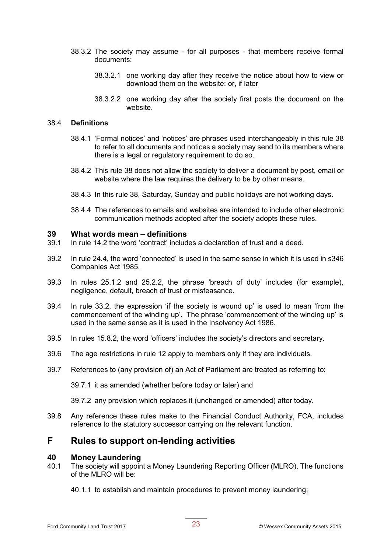- 38.3.2 The society may assume for all purposes that members receive formal documents:
	- 38.3.2.1 one working day after they receive the notice about how to view or download them on the website; or, if later
	- 38.3.2.2 one working day after the society first posts the document on the website.

#### 38.4 **Definitions**

- 38.4.1 'Formal notices' and 'notices' are phrases used interchangeably in this rule 38 to refer to all documents and notices a society may send to its members where there is a legal or regulatory requirement to do so.
- 38.4.2 This rule 38 does not allow the society to deliver a document by post, email or website where the law requires the delivery to be by other means.
- 38.4.3 In this rule 38, Saturday, Sunday and public holidays are not working days.
- 38.4.4 The references to emails and websites are intended to include other electronic communication methods adopted after the society adopts these rules.

#### **39 What words mean – definitions**

- 39.1 In rule 14.2 the word 'contract' includes a declaration of trust and a deed.
- 39.2 In rule 24.4, the word 'connected' is used in the same sense in which it is used in s346 Companies Act 1985.
- 39.3 In rules 25.1.2 and 25.2.2, the phrase 'breach of duty' includes (for example), negligence, default, breach of trust or misfeasance.
- 39.4 In rule 33.2, the expression 'if the society is wound up' is used to mean 'from the commencement of the winding up'. The phrase 'commencement of the winding up' is used in the same sense as it is used in the Insolvency Act 1986.
- 39.5 In rules 15.8.2, the word 'officers' includes the society's directors and secretary.
- 39.6 The age restrictions in rule 12 apply to members only if they are individuals.
- 39.7 References to (any provision of) an Act of Parliament are treated as referring to:

39.7.1 it as amended (whether before today or later) and

39.7.2 any provision which replaces it (unchanged or amended) after today.

39.8 Any reference these rules make to the Financial Conduct Authority, FCA, includes reference to the statutory successor carrying on the relevant function.

### **F Rules to support on-lending activities**

#### **40 Money Laundering**

- 40.1 The society will appoint a Money Laundering Reporting Officer (MLRO). The functions of the MLRO will be:
	- 40.1.1 to establish and maintain procedures to prevent money laundering;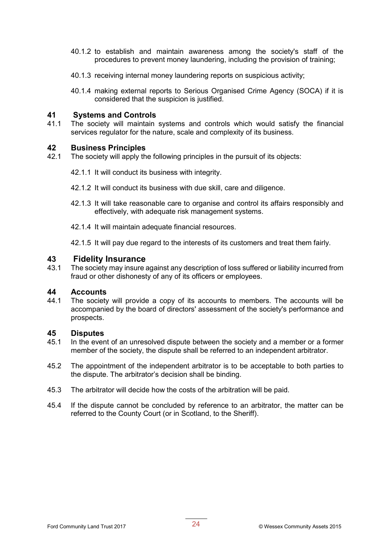- 40.1.2 to establish and maintain awareness among the society's staff of the procedures to prevent money laundering, including the provision of training;
- 40.1.3 receiving internal money laundering reports on suspicious activity;
- 40.1.4 making external reports to Serious Organised Crime Agency (SOCA) if it is considered that the suspicion is justified.

#### **41 Systems and Controls**

41.1 The society will maintain systems and controls which would satisfy the financial services regulator for the nature, scale and complexity of its business.

## **42 Business Principles**

- The society will apply the following principles in the pursuit of its objects:
	- 42.1.1 It will conduct its business with integrity.
	- 42.1.2 It will conduct its business with due skill, care and diligence.
	- 42.1.3 It will take reasonable care to organise and control its affairs responsibly and effectively, with adequate risk management systems.
	- 42.1.4 It will maintain adequate financial resources.
	- 42.1.5 It will pay due regard to the interests of its customers and treat them fairly.

#### **43 Fidelity Insurance**

43.1 The society may insure against any description of loss suffered or liability incurred from fraud or other dishonesty of any of its officers or employees.

#### **44 Accounts**

44.1 The society will provide a copy of its accounts to members. The accounts will be accompanied by the board of directors' assessment of the society's performance and prospects.

#### **45 Disputes**

- 45.1 In the event of an unresolved dispute between the society and a member or a former member of the society, the dispute shall be referred to an independent arbitrator.
- 45.2 The appointment of the independent arbitrator is to be acceptable to both parties to the dispute. The arbitrator's decision shall be binding.
- 45.3 The arbitrator will decide how the costs of the arbitration will be paid.
- 45.4 If the dispute cannot be concluded by reference to an arbitrator, the matter can be referred to the County Court (or in Scotland, to the Sheriff).